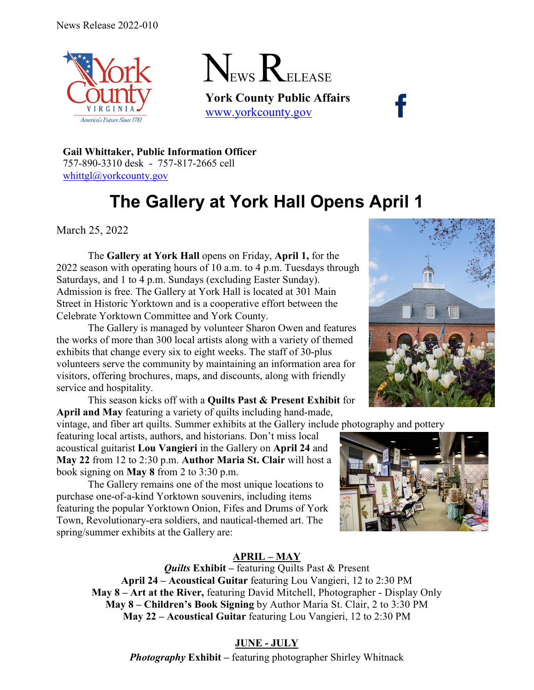



**York County Public Affairs** [www.yorkcounty.gov](http://www.yorkcounty.gov/)

**Gail Whittaker, Public Information Officer** 757-890-3310 desk - 757-817-2665 cell [whittgl@yorkcounty.gov](mailto:whittgl@yorkcounty.gov)

# **The Gallery at York Hall Opens April 1**

March 25, 2022

The **Gallery at York Hall** opens on Friday, **April 1,** for the 2022 season with operating hours of 10 a.m. to 4 p.m. Tuesdays through Saturdays, and 1 to 4 p.m. Sundays (excluding Easter Sunday). Admission is free. The Gallery at York Hall is located at 301 Main Street in Historic Yorktown and is a cooperative effort between the Celebrate Yorktown Committee and York County.

The Gallery is managed by volunteer Sharon Owen and features the works of more than 300 local artists along with a variety of themed exhibits that change every six to eight weeks. The staff of 30-plus volunteers serve the community by maintaining an information area for visitors, offering brochures, maps, and discounts, along with friendly service and hospitality.

This season kicks off with a **Quilts Past & Present Exhibit** for **April and May** featuring a variety of quilts including hand-made,

vintage, and fiber art quilts. Summer exhibits at the Gallery include photography and pottery

featuring local artists, authors, and historians. Don't miss local acoustical guitarist **Lou Vangieri** in the Gallery on **April 24** and **May 22** from 12 to 2:30 p.m. **Author Maria St. Clair** will host a book signing on **May 8** from 2 to 3:30 p.m.

The Gallery remains one of the most unique locations to purchase one-of-a-kind Yorktown souvenirs, including items featuring the popular Yorktown Onion, Fifes and Drums of York Town, Revolutionary-era soldiers, and nautical-themed art. The spring/summer exhibits at the Gallery are:



# **APRIL – MAY**

*Quilts* **Exhibit –** featuring Quilts Past & Present **April 24 – Acoustical Guitar** featuring Lou Vangieri, 12 to 2:30 PM **May 8 – Art at the River,** featuring David Mitchell, Photographer - Display Only **May 8 – Children's Book Signing** by Author Maria St. Clair, 2 to 3:30 PM **May 22 – Acoustical Guitar** featuring Lou Vangieri, 12 to 2:30 PM

# **JUNE - JULY**

*Photography* **Exhibit –** featuring photographer Shirley Whitnack